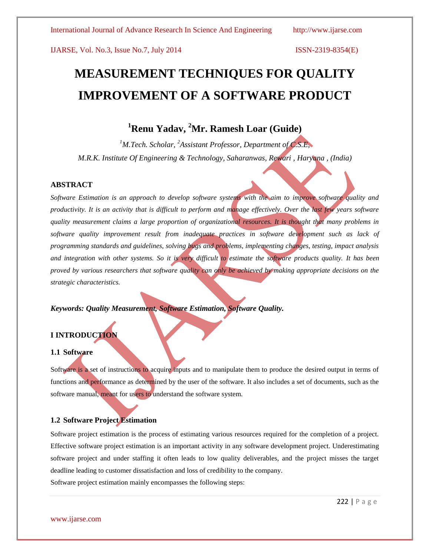# **MEASUREMENT TECHNIQUES FOR QUALITY IMPROVEMENT OF A SOFTWARE PRODUCT**

# **<sup>1</sup>Renu Yadav, <sup>2</sup>Mr. Ramesh Loar (Guide)**

*<sup>1</sup>M.Tech. Scholar, <sup>2</sup>Assistant Professor, Department of C.S.E, M.R.K. Institute Of Engineering & Technology, Saharanwas, Rewari , Haryana , (India)*

### **ABSTRACT**

*Software Estimation is an approach to develop software systems with the aim to improve software quality and productivity. It is an activity that is difficult to perform and manage effectively. Over the last few years software quality measurement claims a large proportion of organizational resources. It is thought that many problems in software quality improvement result from inadequate practices in software development such as lack of programming standards and guidelines, solving bugs and problems, implementing changes, testing, impact analysis and integration with other systems. So it is very difficult to estimate the software products quality. It has been proved by various researchers that software quality can only be achieved by making appropriate decisions on the strategic characteristics.* 

*Keywords: Quality Measurement, Software Estimation, Software Quality.*

### **I INTRODUCTION**

### **1.1 Software**

Software is a set of instructions to acquire inputs and to manipulate them to produce the desired output in terms of functions and performance as determined by the user of the software. It also includes a set of documents, such as the software manual, meant for users to understand the software system.

### **1.2 Software Project Estimation**

Software project estimation is the process of estimating various resources required for the completion of a project. Effective software project estimation is an important activity in any software development project. Underestimating software project and under staffing it often leads to low quality deliverables, and the project misses the target deadline leading to customer dissatisfaction and loss of credibility to the company.

Software project estimation mainly encompasses the following steps: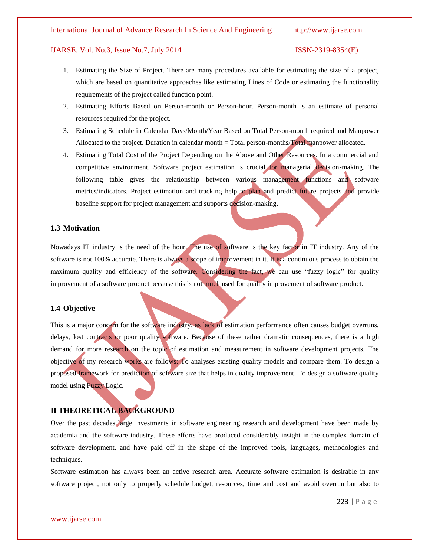### International Journal of Advance Research In Science And Engineering http://www.ijarse.com

### IJARSE, Vol. No.3, Issue No.7, July 2014 ISSN-2319-8354(E)

- 1. Estimating the Size of Project. There are many procedures available for estimating the size of a project, which are based on quantitative approaches like estimating Lines of Code or estimating the functionality requirements of the project called function point.
- 2. Estimating Efforts Based on Person-month or Person-hour. Person-month is an estimate of personal resources required for the project.
- 3. Estimating Schedule in Calendar Days/Month/Year Based on Total Person-month required and Manpower Allocated to the project. Duration in calendar month = Total person-months/Total manpower allocated.
- 4. Estimating Total Cost of the Project Depending on the Above and Other Resources. In a commercial and competitive environment. Software project estimation is crucial for managerial decision-making. The following table gives the relationship between various management functions and software metrics/indicators. Project estimation and tracking help to plan and predict future projects and provide baseline support for project management and supports decision-making.

### **1.3 Motivation**

Nowadays IT industry is the need of the hour. The use of software is the key factor in IT industry. Any of the software is not 100% accurate. There is always a scope of improvement in it. It is a continuous process to obtain the maximum quality and efficiency of the software. Considering the fact, we can use "fuzzy logic" for quality improvement of a software product because this is not much used for quality improvement of software product.

### **1.4 Objective**

This is a major concern for the software industry, as lack of estimation performance often causes budget overruns, delays, lost contracts or poor quality software. Because of these rather dramatic consequences, there is a high demand for more research on the topic of estimation and measurement in software development projects. The objective of my research works are follows: To analyses existing quality models and compare them. To design a proposed framework for prediction of software size that helps in quality improvement. To design a software quality model using Fuzzy Logic.

### **II THEORETICAL BACKGROUND**

Over the past decades large investments in software engineering research and development have been made by academia and the software industry. These efforts have produced considerably insight in the complex domain of software development, and have paid off in the shape of the improved tools, languages, methodologies and techniques.

Software estimation has always been an active research area. Accurate software estimation is desirable in any software project, not only to properly schedule budget, resources, time and cost and avoid overrun but also to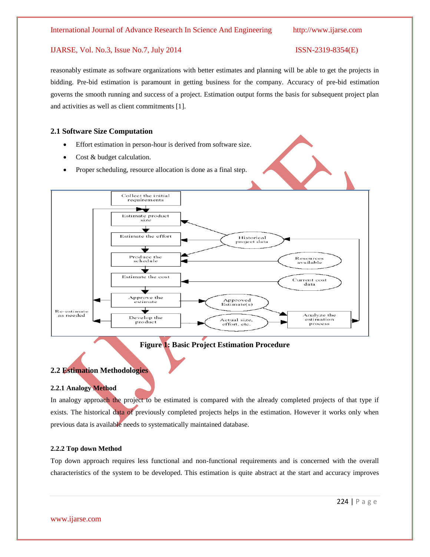# reasonably estimate as software organizations with better estimates and planning will be able to get the projects in bidding. Pre-bid estimation is paramount in getting business for the company. Accuracy of pre-bid estimation governs the smooth running and success of a project. Estimation output forms the basis for subsequent project plan and activities as well as client commitments [1].

### **2.1 Software Size Computation**

- Effort estimation in person-hour is derived from software size.
- Cost & budget calculation.
- Proper scheduling, resource allocation is done as a final step.



**Figure 1: Basic Project Estimation Procedure**

### **2.2 Estimation Methodologies**

### **2.2.1 Analogy Method**

In analogy approach the project to be estimated is compared with the already completed projects of that type if exists. The historical data of previously completed projects helps in the estimation. However it works only when previous data is available needs to systematically maintained database.

### **2.2.2 Top down Method**

Top down approach requires less functional and non-functional requirements and is concerned with the overall characteristics of the system to be developed. This estimation is quite abstract at the start and accuracy improves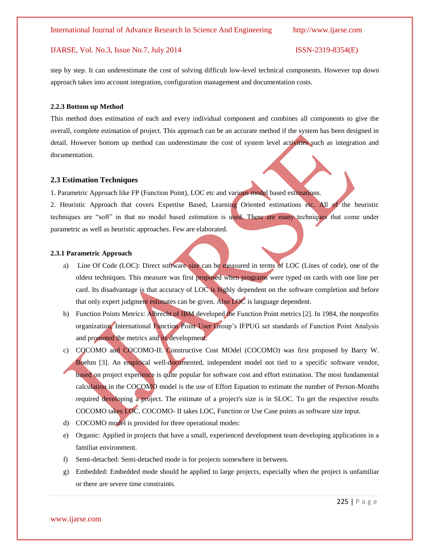step by step. It can underestimate the cost of solving difficult low-level technical components. However top down approach takes into account integration, configuration management and documentation costs.

### **2.2.3 Bottom up Method**

This method does estimation of each and every individual component and combines all components to give the overall, complete estimation of project. This approach can be an accurate method if the system has been designed in detail. However bottom up method can underestimate the cost of system level activities such as integration and documentation.

### **2.3 Estimation Techniques**

1. Parametric Approach like FP (Function Point), LOC etc and various model based estimations.

2. Heuristic Approach that covers Expertise Based, Learning Oriented estimations etc. All of the heuristic techniques are "soft" in that no model based estimation is used. There are many techniques that come under parametric as well as heuristic approaches. Few are elaborated.

### **2.3.1 Parametric Approach**

- a) Line Of Code (LOC): Direct software size can be measured in terms of LOC (Lines of code), one of the oldest techniques. This measure was first proposed when programs were typed on cards with one line per card. Its disadvantage is that accuracy of LOC is highly dependent on the software completion and before that only expert judgment estimates can be given. Also LOC is language dependent.
- b) Function Points Metrics: Albrecht of IBM developed the Function Point metrics [2]. In 1984, the nonprofits organization, International Function Point User Group's IFPUG set standards of Function Point Analysis and promoted the metrics and its development.
- c) COCOMO and COCOMO-II: Constructive Cost MOdel (COCOMO) was first proposed by Barry W. Boehm [3]. An empirical well-documented, independent model not tied to a specific software vendor, based on project experience is quite popular for software cost and effort estimation. The most fundamental calculation in the COCOMO model is the use of Effort Equation to estimate the number of Person-Months required developing a project. The estimate of a project's size is in SLOC. To get the respective results COCOMO takes LOC. COCOMO- II takes LOC, Function or Use Case points as software size input.
- d) COCOMO model is provided for three operational modes:
- e) Organic: Applied in projects that have a small, experienced development team developing applications in a familiar environment.
- f) Semi-detached: Semi-detached mode is for projects somewhere in between.
- g) Embedded: Embedded mode should be applied to large projects, especially when the project is unfamiliar or there are severe time constraints.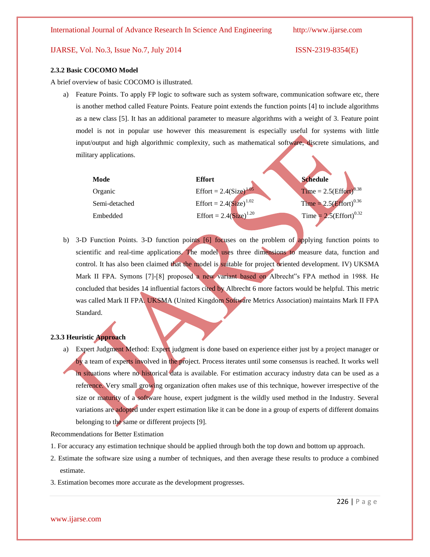### **2.3.2 Basic COCOMO Model**

A brief overview of basic COCOMO is illustrated.

a) Feature Points. To apply FP logic to software such as system software, communication software etc, there is another method called Feature Points. Feature point extends the function points [4] to include algorithms as a new class [5]. It has an additional parameter to measure algorithms with a weight of 3. Feature point model is not in popular use however this measurement is especially useful for systems with little input/output and high algorithmic complexity, such as mathematical software, discrete simulations, and military applications.

| Mode          | <b>Effort</b>               | <b>Schedule</b>                       |
|---------------|-----------------------------|---------------------------------------|
| Organic       | Effort = $2.4(Size)^{1.05}$ | Time = $2.5\text{(Effort)}^{0.38}$    |
| Semi-detached | Effort = $2.4(Size)^{1.02}$ | $Time = 2.5(Effort)^{0.36}$           |
| Embedded      | Effort = $2.4(Size)^{1.20}$ | Time = $2.5$ (Effort) <sup>0.32</sup> |
|               |                             |                                       |

b) 3-D Function Points. 3-D function points [6] focuses on the problem of applying function points to scientific and real-time applications. The model uses three dimensions to measure data, function and control. It has also been claimed that the model is suitable for project oriented development. IV) UKSMA Mark II FPA. Symons [7]-[8] proposed a new variant based on Albrecht"s FPA method in 1988. He concluded that besides 14 influential factors cited by Albrecht 6 more factors would be helpful. This metric was called Mark II FPA. UKSMA (United Kingdom Software Metrics Association) maintains Mark II FPA Standard.

### **2.3.3 Heuristic Approach**

a) Expert Judgment Method: Expert judgment is done based on experience either just by a project manager or by a team of experts involved in the project. Process iterates until some consensus is reached. It works well in situations where no historical data is available. For estimation accuracy industry data can be used as a reference. Very small growing organization often makes use of this technique, however irrespective of the size or maturity of a software house, expert judgment is the wildly used method in the Industry. Several variations are adopted under expert estimation like it can be done in a group of experts of different domains belonging to the same or different projects [9].

Recommendations for Better Estimation

- 1. For accuracy any estimation technique should be applied through both the top down and bottom up approach.
- 2. Estimate the software size using a number of techniques, and then average these results to produce a combined estimate.
- 3. Estimation becomes more accurate as the development progresses.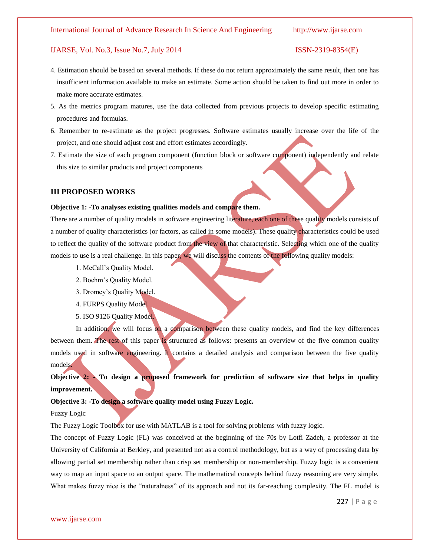### International Journal of Advance Research In Science And Engineering http://www.ijarse.com

### IJARSE, Vol. No.3, Issue No.7, July 2014 ISSN-2319-8354(E)

- 4. Estimation should be based on several methods. If these do not return approximately the same result, then one has insufficient information available to make an estimate. Some action should be taken to find out more in order to make more accurate estimates.
- 5. As the metrics program matures, use the data collected from previous projects to develop specific estimating procedures and formulas.
- 6. Remember to re-estimate as the project progresses. Software estimates usually increase over the life of the project, and one should adjust cost and effort estimates accordingly.
- 7. Estimate the size of each program component (function block or software component) independently and relate this size to similar products and project components

### **III PROPOSED WORKS**

### **Objective 1: -To analyses existing qualities models and compare them.**

There are a number of quality models in software engineering literature, each one of these quality models consists of a number of quality characteristics (or factors, as called in some models). These quality characteristics could be used to reflect the quality of the software product from the view of that characteristic. Selecting which one of the quality models to use is a real challenge. In this paper, we will discuss the contents of the following quality models:

- 1. McCall's Quality Model.
- 2. Boehm's Quality Model.
- 3. Dromey's Quality Model.
- 4. FURPS Quality Model.
- 5. ISO 9126 Quality Model.

In addition, we will focus on a comparison between these quality models, and find the key differences between them. The rest of this paper is structured as follows: presents an overview of the five common quality models used in software engineering. It contains a detailed analysis and comparison between the five quality models.

## **Objective 2: - To design a proposed framework for prediction of software size that helps in quality improvement.**

### **Objective 3: -To design a software quality model using Fuzzy Logic.**

Fuzzy Logic

The Fuzzy Logic Toolbox for use with MATLAB is a tool for solving problems with fuzzy logic.

The concept of Fuzzy Logic (FL) was conceived at the beginning of the 70s by Lotfi Zadeh, a professor at the University of California at Berkley, and presented not as a control methodology, but as a way of processing data by allowing partial set membership rather than crisp set membership or non-membership. Fuzzy logic is a convenient way to map an input space to an output space. The mathematical concepts behind fuzzy reasoning are very simple. What makes fuzzy nice is the "naturalness" of its approach and not its far-reaching complexity. The FL model is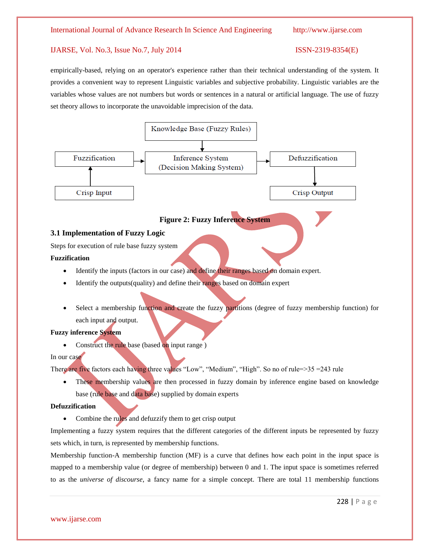empirically-based, relying on an operator's experience rather than their technical understanding of the system. It provides a convenient way to represent Linguistic variables and subjective probability. Linguistic variables are the variables whose values are not numbers but words or sentences in a natural or artificial language. The use of fuzzy set theory allows to incorporate the unavoidable imprecision of the data.



base (rule base and data base) supplied by domain experts

### **Defuzzification**

Combine the rules and defuzzify them to get crisp output

Implementing a fuzzy system requires that the different categories of the different inputs be represented by fuzzy sets which, in turn, is represented by membership functions.

Membership function-A membership function (MF) is a curve that defines how each point in the input space is mapped to a membership value (or degree of membership) between 0 and 1. The input space is sometimes referred to as the *universe of discourse*, a fancy name for a simple concept. There are total 11 membership functions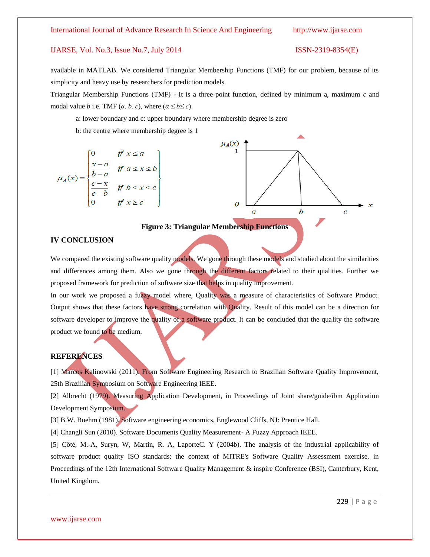available in MATLAB. We considered Triangular Membership Functions (TMF) for our problem, because of its simplicity and heavy use by researchers for prediction models.

Triangular Membership Functions (TMF) - It is a three-point function, defined by minimum a, maximum *c* and modal value *b* i.e. TMF (*a*, *b*, *c*), where ( $a \le b \le c$ ).

a: lower boundary and c: upper boundary where membership degree is zero

b: the centre where membership degree is 1

$$
\mu_A(x) = \begin{cases}\n0 & \text{if } x \le a \\
\frac{x-a}{b-a} & \text{if } a \le x \le b \\
\frac{c-x}{c-b} & \text{if } b \le x \le c \\
0 & \text{if } x \ge c\n\end{cases}
$$



### **Figure 3: Triangular Membership Functions**

### **IV CONCLUSION**

We compared the existing software quality models. We gone through these models and studied about the similarities and differences among them. Also we gone through the different factors related to their qualities. Further we proposed framework for prediction of software size that helps in quality improvement.

In our work we proposed a fuzzy model where, Quality was a measure of characteristics of Software Product. Output shows that these factors have strong correlation with Quality. Result of this model can be a direction for software developer to improve the quality of a software product. It can be concluded that the quality the software product we found to be medium.

### **REFERENCES**

[1] Marcos Kalinowski (2011). From Software Engineering Research to Brazilian Software Quality Improvement, 25th Brazilian Symposium on Software Engineering IEEE.

[2] Albrecht (1979). Measuring Application Development, in Proceedings of Joint share/guide/ibm Application Development Symposium.

[3] B.W. Boehm (1981). Software engineering economics, Englewood Cliffs, NJ: Prentice Hall.

[4] Changli Sun (2010). Software Documents Quality Measurement- A Fuzzy Approach IEEE.

[5] Côté, M.-A, Suryn, W, Martin, R. A, LaporteC. Y (2004b). The analysis of the industrial applicability of software product quality ISO standards: the context of MITRE's Software Quality Assessment exercise, in Proceedings of the 12th International Software Quality Management & inspire Conference (BSI), Canterbury, Kent, United Kingdom.